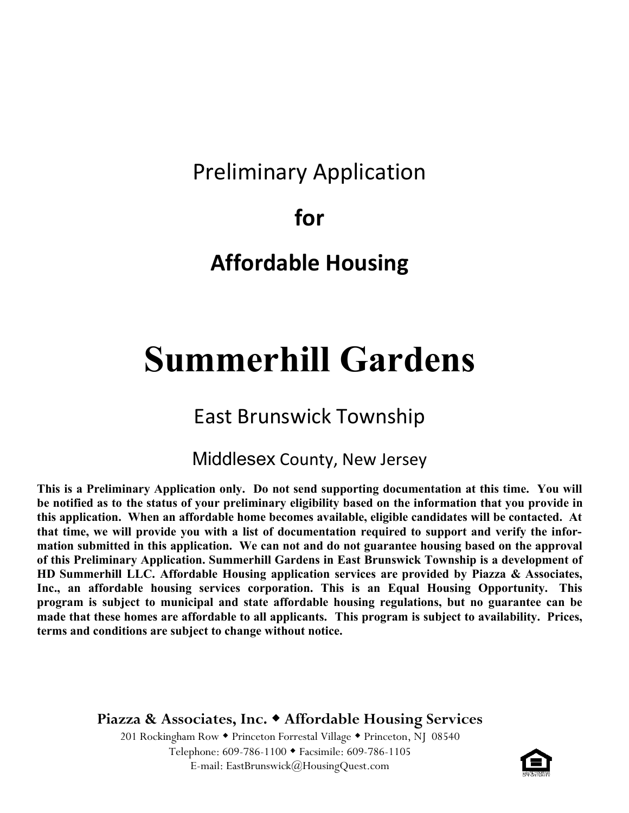# Preliminary Application

**for** 

# **Affordable Housing**

# **Summerhill Gardens**

### East Brunswick Township

#### Middlesex County, New Jersey

**This is a Preliminary Application only. Do not send supporting documentation at this time. You will be notified as to the status of your preliminary eligibility based on the information that you provide in this application. When an affordable home becomes available, eligible candidates will be contacted. At that time, we will provide you with a list of documentation required to support and verify the information submitted in this application. We can not and do not guarantee housing based on the approval of this Preliminary Application. Summerhill Gardens in East Brunswick Township is a development of HD Summerhill LLC. Affordable Housing application services are provided by Piazza & Associates, Inc., an affordable housing services corporation. This is an Equal Housing Opportunity. This program is subject to municipal and state affordable housing regulations, but no guarantee can be made that these homes are affordable to all applicants. This program is subject to availability. Prices, terms and conditions are subject to change without notice.**

**Piazza & Associates, Inc. Affordable Housing Services**

201 Rockingham Row • Princeton Forrestal Village • Princeton, NJ 08540 Telephone: 609-786-1100 Facsimile: 609-786-1105 E-mail: EastBrunswick@HousingQuest.com

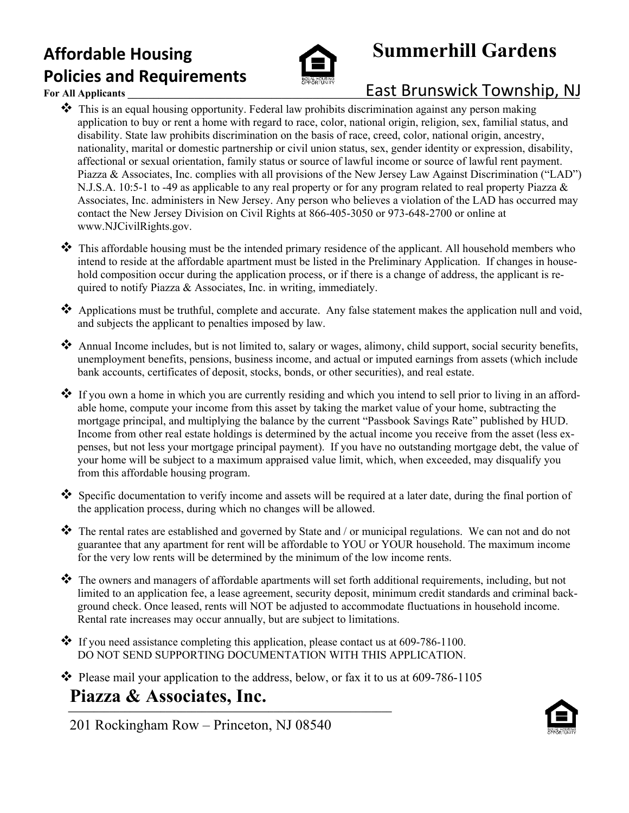### **Affordable Housing Policies and Requirements**



# **Summerhill Gardens**

### **For All Applicants The Lattrace of Lattrice East Brunswick Township, NJ**

- ❖ This is an equal housing opportunity. Federal law prohibits discrimination against any person making application to buy or rent a home with regard to race, color, national origin, religion, sex, familial status, and disability. State law prohibits discrimination on the basis of race, creed, color, national origin, ancestry, nationality, marital or domestic partnership or civil union status, sex, gender identity or expression, disability, affectional or sexual orientation, family status or source of lawful income or source of lawful rent payment. Piazza & Associates, Inc. complies with all provisions of the New Jersey Law Against Discrimination ("LAD") N.J.S.A. 10:5-1 to -49 as applicable to any real property or for any program related to real property Piazza & Associates, Inc. administers in New Jersey. Any person who believes a violation of the LAD has occurred may contact the New Jersey Division on Civil Rights at 866-405-3050 or 973-648-2700 or online at www.NJCivilRights.gov.
- ❖ This affordable housing must be the intended primary residence of the applicant. All household members who intend to reside at the affordable apartment must be listed in the Preliminary Application. If changes in household composition occur during the application process, or if there is a change of address, the applicant is required to notify Piazza & Associates, Inc. in writing, immediately.
- ❖ Applications must be truthful, complete and accurate. Any false statement makes the application null and void, and subjects the applicant to penalties imposed by law.
- ❖ Annual Income includes, but is not limited to, salary or wages, alimony, child support, social security benefits, unemployment benefits, pensions, business income, and actual or imputed earnings from assets (which include bank accounts, certificates of deposit, stocks, bonds, or other securities), and real estate.
- ❖ If you own a home in which you are currently residing and which you intend to sell prior to living in an affordable home, compute your income from this asset by taking the market value of your home, subtracting the mortgage principal, and multiplying the balance by the current "Passbook Savings Rate" published by HUD. Income from other real estate holdings is determined by the actual income you receive from the asset (less expenses, but not less your mortgage principal payment). If you have no outstanding mortgage debt, the value of your home will be subject to a maximum appraised value limit, which, when exceeded, may disqualify you from this affordable housing program.
- ❖ Specific documentation to verify income and assets will be required at a later date, during the final portion of the application process, during which no changes will be allowed.
- ❖ The rental rates are established and governed by State and / or municipal regulations. We can not and do not guarantee that any apartment for rent will be affordable to YOU or YOUR household. The maximum income for the very low rents will be determined by the minimum of the low income rents.
- ❖ The owners and managers of affordable apartments will set forth additional requirements, including, but not limited to an application fee, a lease agreement, security deposit, minimum credit standards and criminal background check. Once leased, rents will NOT be adjusted to accommodate fluctuations in household income. Rental rate increases may occur annually, but are subject to limitations.
- $\clubsuit$  If you need assistance completing this application, please contact us at 609-786-1100. DO NOT SEND SUPPORTING DOCUMENTATION WITH THIS APPLICATION.
- ❖ Please mail your application to the address, below, or fax it to us at 609-786-1105

#### **Piazza & Associates, Inc.**  $\overline{\phantom{a}}$

201 Rockingham Row – Princeton, NJ 08540